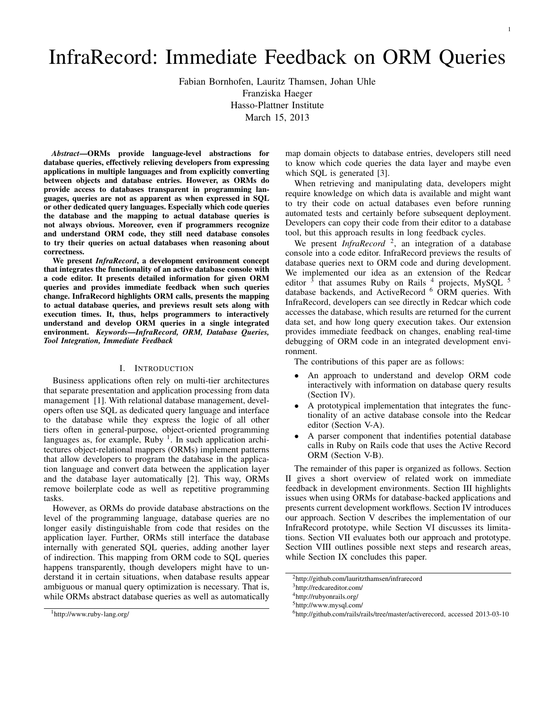# InfraRecord: Immediate Feedback on ORM Queries

Fabian Bornhofen, Lauritz Thamsen, Johan Uhle

Franziska Haeger

Hasso-Plattner Institute

March 15, 2013

*Abstract*—ORMs provide language-level abstractions for database queries, effectively relieving developers from expressing applications in multiple languages and from explicitly converting between objects and database entries. However, as ORMs do provide access to databases transparent in programming languages, queries are not as apparent as when expressed in SQL or other dedicated query languages. Especially which code queries the database and the mapping to actual database queries is not always obvious. Moreover, even if programmers recognize and understand ORM code, they still need database consoles to try their queries on actual databases when reasoning about correctness.

We present *InfraRecord*, a development environment concept that integrates the functionality of an active database console with a code editor. It presents detailed information for given ORM queries and provides immediate feedback when such queries change. InfraRecord highlights ORM calls, presents the mapping to actual database queries, and previews result sets along with execution times. It, thus, helps programmers to interactively understand and develop ORM queries in a single integrated environment. *Keywords*—*InfraRecord, ORM, Database Queries, Tool Integration, Immediate Feedback*

## I. INTRODUCTION

Business applications often rely on multi-tier architectures that separate presentation and application processing from data management [1]. With relational database management, developers often use SQL as dedicated query language and interface to the database while they express the logic of all other tiers often in general-purpose, object-oriented programming languages as, for example, Ruby  $\frac{1}{1}$ . In such application architectures object-relational mappers (ORMs) implement patterns that allow developers to program the database in the application language and convert data between the application layer and the database layer automatically [2]. This way, ORMs remove boilerplate code as well as repetitive programming tasks.

However, as ORMs do provide database abstractions on the level of the programming language, database queries are no longer easily distinguishable from code that resides on the application layer. Further, ORMs still interface the database internally with generated SQL queries, adding another layer of indirection. This mapping from ORM code to SQL queries happens transparently, though developers might have to understand it in certain situations, when database results appear ambiguous or manual query optimization is necessary. That is, while ORMs abstract database queries as well as automatically map domain objects to database entries, developers still need to know which code queries the data layer and maybe even which SQL is generated [3].

When retrieving and manipulating data, developers might require knowledge on which data is available and might want to try their code on actual databases even before running automated tests and certainly before subsequent deployment. Developers can copy their code from their editor to a database tool, but this approach results in long feedback cycles.

We present *InfraRecord*<sup>2</sup>, an integration of a database console into a code editor. InfraRecord previews the results of database queries next to ORM code and during development. We implemented our idea as an extension of the Redcar editor  $\frac{3}{5}$  that assumes Ruby on Rails  $\frac{4}{5}$  projects, MySQL  $\frac{5}{5}$ database backends, and ActiveRecord <sup>6</sup> ORM queries. With InfraRecord, developers can see directly in Redcar which code accesses the database, which results are returned for the current data set, and how long query execution takes. Our extension provides immediate feedback on changes, enabling real-time debugging of ORM code in an integrated development environment.

The contributions of this paper are as follows:

- An approach to understand and develop ORM code interactively with information on database query results (Section IV).
- A prototypical implementation that integrates the functionality of an active database console into the Redcar editor (Section V-A).
- A parser component that indentifies potential database calls in Ruby on Rails code that uses the Active Record ORM (Section V-B).

The remainder of this paper is organized as follows. Section II gives a short overview of related work on immediate feedback in development environments. Section III highlights issues when using ORMs for database-backed applications and presents current development workflows. Section IV introduces our approach. Section V describes the implementation of our InfraRecord prototype, while Section VI discusses its limitations. Section VII evaluates both our approach and prototype. Section VIII outlines possible next steps and research areas, while Section IX concludes this paper.

<sup>1</sup>http://www.ruby-lang.org/

<sup>2</sup>http://github.com/lauritzthamsen/infrarecord

<sup>3</sup>http://redcareditor.com/

<sup>4</sup>http://rubyonrails.org/

<sup>5</sup>http://www.mysql.com/

<sup>6</sup>http://github.com/rails/rails/tree/master/activerecord, accessed 2013-03-10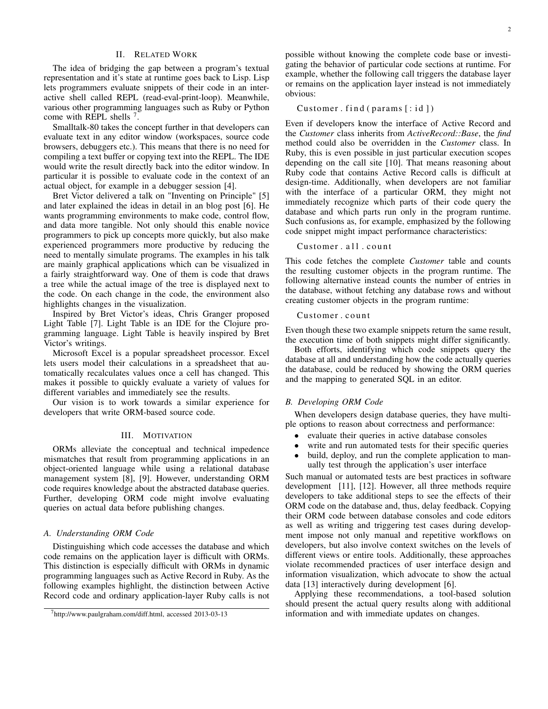## II. RELATED WORK

The idea of bridging the gap between a program's textual representation and it's state at runtime goes back to Lisp. Lisp lets programmers evaluate snippets of their code in an interactive shell called REPL (read-eval-print-loop). Meanwhile, various other programming languages such as Ruby or Python come with REPL shells <sup>7</sup>.

Smalltalk-80 takes the concept further in that developers can evaluate text in any editor window (workspaces, source code browsers, debuggers etc.). This means that there is no need for compiling a text buffer or copying text into the REPL. The IDE would write the result directly back into the editor window. In particular it is possible to evaluate code in the context of an actual object, for example in a debugger session [4].

Bret Victor delivered a talk on "Inventing on Principle" [5] and later explained the ideas in detail in an blog post [6]. He wants programming environments to make code, control flow, and data more tangible. Not only should this enable novice programmers to pick up concepts more quickly, but also make experienced programmers more productive by reducing the need to mentally simulate programs. The examples in his talk are mainly graphical applications which can be visualized in a fairly straightforward way. One of them is code that draws a tree while the actual image of the tree is displayed next to the code. On each change in the code, the environment also highlights changes in the visualization.

Inspired by Bret Victor's ideas, Chris Granger proposed Light Table [7]. Light Table is an IDE for the Clojure programming language. Light Table is heavily inspired by Bret Victor's writings.

Microsoft Excel is a popular spreadsheet processor. Excel lets users model their calculations in a spreadsheet that automatically recalculates values once a cell has changed. This makes it possible to quickly evaluate a variety of values for different variables and immediately see the results.

Our vision is to work towards a similar experience for developers that write ORM-based source code.

# III. MOTIVATION

ORMs alleviate the conceptual and technical impedence mismatches that result from programming applications in an object-oriented language while using a relational database management system [8], [9]. However, understanding ORM code requires knowledge about the abstracted database queries. Further, developing ORM code might involve evaluating queries on actual data before publishing changes.

#### *A. Understanding ORM Code*

Distinguishing which code accesses the database and which code remains on the application layer is difficult with ORMs. This distinction is especially difficult with ORMs in dynamic programming languages such as Active Record in Ruby. As the following examples highlight, the distinction between Active Record code and ordinary application-layer Ruby calls is not possible without knowing the complete code base or investigating the behavior of particular code sections at runtime. For example, whether the following call triggers the database layer or remains on the application layer instead is not immediately obvious:

# Customer. find  $(params[:id])$

Even if developers know the interface of Active Record and the *Customer* class inherits from *ActiveRecord::Base*, the *find* method could also be overridden in the *Customer* class. In Ruby, this is even possible in just particular execution scopes depending on the call site [10]. That means reasoning about Ruby code that contains Active Record calls is difficult at design-time. Additionally, when developers are not familiar with the interface of a particular ORM, they might not immediately recognize which parts of their code query the database and which parts run only in the program runtime. Such confusions as, for example, emphasized by the following code snippet might impact performance characteristics:

# Customer. all. count

This code fetches the complete *Customer* table and counts the resulting customer objects in the program runtime. The following alternative instead counts the number of entries in the database, without fetching any database rows and without creating customer objects in the program runtime:

# Customer.count

Even though these two example snippets return the same result, the execution time of both snippets might differ significantly.

Both efforts, identifying which code snippets query the database at all and understanding how the code actually queries the database, could be reduced by showing the ORM queries and the mapping to generated SQL in an editor.

#### *B. Developing ORM Code*

When developers design database queries, they have multiple options to reason about correctness and performance:

- evaluate their queries in active database consoles
- write and run automated tests for their specific queries
- build, deploy, and run the complete application to manually test through the application's user interface

Such manual or automated tests are best practices in software development [11], [12]. However, all three methods require developers to take additional steps to see the effects of their ORM code on the database and, thus, delay feedback. Copying their ORM code between database consoles and code editors as well as writing and triggering test cases during development impose not only manual and repetitive workflows on developers, but also involve context switches on the levels of different views or entire tools. Additionally, these approaches violate recommended practices of user interface design and information visualization, which advocate to show the actual data [13] interactively during development [6].

Applying these recommendations, a tool-based solution should present the actual query results along with additional information and with immediate updates on changes.

<sup>7</sup>http://www.paulgraham.com/diff.html, accessed 2013-03-13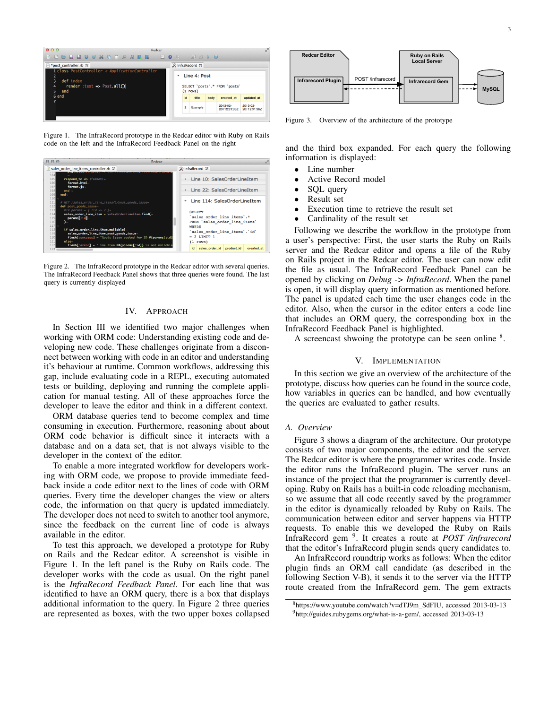

Figure 1. The InfraRecord prototype in the Redcar editor with Ruby on Rails code on the left and the InfraRecord Feedback Panel on the right

| 000                                                                                                                                                                                                                                                                                                                                                                                                                                                                                                     | Redcar                                                                                                                                                                                                                                                       |  |
|---------------------------------------------------------------------------------------------------------------------------------------------------------------------------------------------------------------------------------------------------------------------------------------------------------------------------------------------------------------------------------------------------------------------------------------------------------------------------------------------------------|--------------------------------------------------------------------------------------------------------------------------------------------------------------------------------------------------------------------------------------------------------------|--|
| sales_order_line_items_controller.rb 23<br>Ιñ                                                                                                                                                                                                                                                                                                                                                                                                                                                           | <b>E</b> InfraRecord ⊠                                                                                                                                                                                                                                       |  |
| 104<br>respond_to do IformatI-<br>105<br>106<br>format.html<br>107<br>format.js-<br>108<br>end $\neg$<br>109<br>$end -$<br>$110 -$                                                                                                                                                                                                                                                                                                                                                                      | Line 10: SalesOrderLineItem<br>Line 22: SalesOrderLineItem                                                                                                                                                                                                   |  |
| # GET /sales_order_line_items/1/post_goods_issue-<br>111<br>def post_goods_issue-<br>112<br>$\#IR$ params = { : id => 2 }-<br>113<br>sales_order_line_item = Sales0rderLineItem.find(-<br>114<br>115<br>params[:id]<br>116<br>—י<br>117<br>if sales_order_line_item.mailable?<br>118<br>sales_order_line_item.post_goods_issue-<br>119<br>flash[:success] = "Goods Issue posted for ID #{params[:id]<br>120<br>121<br>else.<br>flash[:error] = "Line Item ##{params[:id]} is not mailable<br>122<br>123 | Line 114: SalesOrderLineItem<br>٠<br><b>SELECT</b><br>'sales order line items'.*<br>FROM `sales order line items`<br><b>WHERE</b><br>'sales order line items'.'id'<br>$= 2$ LIMIT 1<br>$(1$ rows)<br><b>Id</b><br>sales order id<br>product_id<br>created at |  |

Figure 2. The InfraRecord prototype in the Redcar editor with several queries. The InfraRecord Feedback Panel shows that three queries were found. The last query is currently displayed

## IV. APPROACH

In Section III we identified two major challenges when working with ORM code: Understanding existing code and developing new code. These challenges originate from a disconnect between working with code in an editor and understanding it's behaviour at runtime. Common workflows, addressing this gap, include evaluating code in a REPL, executing automated tests or building, deploying and running the complete application for manual testing. All of these approaches force the developer to leave the editor and think in a different context.

ORM database queries tend to become complex and time consuming in execution. Furthermore, reasoning about about ORM code behavior is difficult since it interacts with a database and on a data set, that is not always visible to the developer in the context of the editor.

To enable a more integrated workflow for developers working with ORM code, we propose to provide immediate feedback inside a code editor next to the lines of code with ORM queries. Every time the developer changes the view or alters code, the information on that query is updated immediately. The developer does not need to switch to another tool anymore, since the feedback on the current line of code is always available in the editor.

To test this approach, we developed a prototype for Ruby on Rails and the Redcar editor. A screenshot is visible in Figure 1. In the left panel is the Ruby on Rails code. The developer works with the code as usual. On the right panel is the *InfraRecord Feedback Panel*. For each line that was identified to have an ORM query, there is a box that displays additional information to the query. In Figure 2 three queries are represented as boxes, with the two upper boxes collapsed



Figure 3. Overview of the architecture of the prototype

and the third box expanded. For each query the following information is displayed:

- Line number
- Active Record model
- SQL query
- Result set
- Execution time to retrieve the result set
- Cardinality of the result set

Following we describe the workflow in the prototype from a user's perspective: First, the user starts the Ruby on Rails server and the Redcar editor and opens a file of the Ruby on Rails project in the Redcar editor. The user can now edit the file as usual. The InfraRecord Feedback Panel can be opened by clicking on *Debug -> InfraRecord*. When the panel is open, it will display query information as mentioned before. The panel is updated each time the user changes code in the editor. Also, when the cursor in the editor enters a code line that includes an ORM query, the corresponding box in the InfraRecord Feedback Panel is highlighted.

A screencast shwoing the prototype can be seen online  $8$ .

#### V. IMPLEMENTATION

In this section we give an overview of the architecture of the prototype, discuss how queries can be found in the source code, how variables in queries can be handled, and how eventually the queries are evaluated to gather results.

## *A. Overview*

Figure 3 shows a diagram of the architecture. Our prototype consists of two major components, the editor and the server. The Redcar editor is where the programmer writes code. Inside the editor runs the InfraRecord plugin. The server runs an instance of the project that the programmer is currently developing. Ruby on Rails has a built-in code reloading mechanism, so we assume that all code recently saved by the programmer in the editor is dynamically reloaded by Ruby on Rails. The communication between editor and server happens via HTTP requests. To enable this we developed the Ruby on Rails InfraRecord gem <sup>9</sup> . It creates a route at *POST /infrarecord* that the editor's InfraRecord plugin sends query candidates to.

An InfraRecord roundtrip works as follows: When the editor plugin finds an ORM call candidate (as described in the following Section V-B), it sends it to the server via the HTTP route created from the InfraRecord gem. The gem extracts

<sup>8</sup>https://www.youtube.com/watch?v=dTJ9m\_SdFIU, accessed 2013-03-13 <sup>9</sup>http://guides.rubygems.org/what-is-a-gem/, accessed 2013-03-13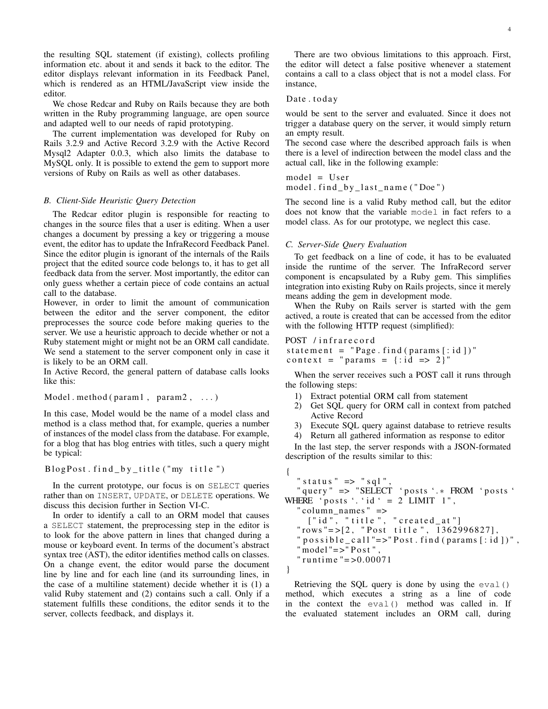the resulting SQL statement (if existing), collects profiling information etc. about it and sends it back to the editor. The editor displays relevant information in its Feedback Panel, which is rendered as an HTML/JavaScript view inside the editor.

We chose Redcar and Ruby on Rails because they are both written in the Ruby programming language, are open source and adapted well to our needs of rapid prototyping.

The current implementation was developed for Ruby on Rails 3.2.9 and Active Record 3.2.9 with the Active Record Mysql2 Adapter 0.0.3, which also limits the database to MySQL only. It is possible to extend the gem to support more versions of Ruby on Rails as well as other databases.

## *B. Client-Side Heuristic Query Detection*

The Redcar editor plugin is responsible for reacting to changes in the source files that a user is editing. When a user changes a document by pressing a key or triggering a mouse event, the editor has to update the InfraRecord Feedback Panel. Since the editor plugin is ignorant of the internals of the Rails project that the edited source code belongs to, it has to get all feedback data from the server. Most importantly, the editor can only guess whether a certain piece of code contains an actual call to the database.

However, in order to limit the amount of communication between the editor and the server component, the editor preprocesses the source code before making queries to the server. We use a heuristic approach to decide whether or not a Ruby statement might or might not be an ORM call candidate. We send a statement to the server component only in case it is likely to be an ORM call.

In Active Record, the general pattern of database calls looks like this:

Model . method ( $param1$ ,  $param2$ , ...)

In this case, Model would be the name of a model class and method is a class method that, for example, queries a number of instances of the model class from the database. For example, for a blog that has blog entries with titles, such a query might be typical:

 $B$ l og P o st. find by title ("my title")

In the current prototype, our focus is on SELECT queries rather than on INSERT, UPDATE, or DELETE operations. We discuss this decision further in Section VI-C.

In order to identify a call to an ORM model that causes a SELECT statement, the preprocessing step in the editor is to look for the above pattern in lines that changed during a mouse or keyboard event. In terms of the document's abstract syntax tree (AST), the editor identifies method calls on classes. On a change event, the editor would parse the document line by line and for each line (and its surrounding lines, in the case of a multiline statement) decide whether it is (1) a valid Ruby statement and (2) contains such a call. Only if a statement fulfills these conditions, the editor sends it to the server, collects feedback, and displays it.

There are two obvious limitations to this approach. First, the editor will detect a false positive whenever a statement contains a call to a class object that is not a model class. For instance,

## Date . today

would be sent to the server and evaluated. Since it does not trigger a database query on the server, it would simply return an empty result.

The second case where the described approach fails is when there is a level of indirection between the model class and the actual call, like in the following example:

 $model = User$ model. find\_by\_last\_name ("Doe")

The second line is a valid Ruby method call, but the editor does not know that the variable model in fact refers to a model class. As for our prototype, we neglect this case.

# *C. Server-Side Query Evaluation*

To get feedback on a line of code, it has to be evaluated inside the runtime of the server. The InfraRecord server component is encapsulated by a Ruby gem. This simplifies integration into existing Ruby on Rails projects, since it merely means adding the gem in development mode.

When the Ruby on Rails server is started with the gem actived, a route is created that can be accessed from the editor with the following HTTP request (simplified):

# POST / infrarecord

statement = "Page. find (params  $[:id])$ " context = "params =  $\{ :id \Rightarrow 2 \}$ "

When the server receives such a POST call it runs through the following steps:

- 1) Extract potential ORM call from statement
- 2) Get SQL query for ORM call in context from patched Active Record
- 3) Execute SQL query against database to retrieve results
- 4) Return all gathered information as response to editor

In the last step, the server responds with a JSON-formated description of the results similar to this:

```
{
   " status " \Rightarrow " sql",
   " query " => "SELECT 'posts '.* FROM 'posts '
WHERE '\text{posts}'.'id' = 2 LIMIT 1",
   " column_names " =>
     \begin{bmatrix} \text{"id", "title", "created_at"] \end{bmatrix}" rows "= >[2, " Post title", 1362996827],
   " possible\_call" => "Post.find (params[:id])"," model "\equiv >" Post",
   " runtime "=>0.00071}
```
Retrieving the SQL query is done by using the eval() method, which executes a string as a line of code in the context the eval() method was called in. If the evaluated statement includes an ORM call, during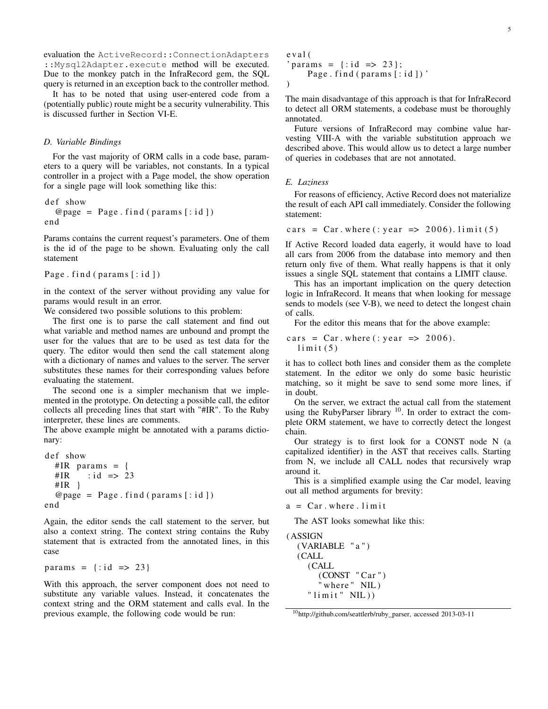evaluation the ActiveRecord::ConnectionAdapters ::Mysql2Adapter.execute method will be executed. Due to the monkey patch in the InfraRecord gem, the SQL query is returned in an exception back to the controller method.

It has to be noted that using user-entered code from a (potentially public) route might be a security vulnerability. This is discussed further in Section VI-E.

## *D. Variable Bindings*

For the vast majority of ORM calls in a code base, parameters to a query will be variables, not constants. In a typical controller in a project with a Page model, the show operation for a single page will look something like this:

def show  $@page = Page.find(params[:id])$ end

Params contains the current request's parameters. One of them is the id of the page to be shown. Evaluating only the call statement

```
Page . find (params [: id ])
```
in the context of the server without providing any value for params would result in an error.

We considered two possible solutions to this problem:

The first one is to parse the call statement and find out what variable and method names are unbound and prompt the user for the values that are to be used as test data for the query. The editor would then send the call statement along with a dictionary of names and values to the server. The server substitutes these names for their corresponding values before evaluating the statement.

The second one is a simpler mechanism that we implemented in the prototype. On detecting a possible call, the editor collects all preceding lines that start with "#IR". To the Ruby interpreter, these lines are comments.

The above example might be annotated with a params dictionary:

```
def show
  #IR params = {
  \# IR : id => 23
  #IR }
  \omega page = Page . find (params [: id ])
end
```
Again, the editor sends the call statement to the server, but also a context string. The context string contains the Ruby statement that is extracted from the annotated lines, in this case

```
params = \{ : id \implies 23 \}
```
With this approach, the server component does not need to substitute any variable values. Instead, it concatenates the context string and the ORM statement and calls eval. In the previous example, the following code would be run:

```
e v a l (
' params = {: id => 23};
     Page . find (params [: id ])'
)
```
The main disadvantage of this approach is that for InfraRecord to detect all ORM statements, a codebase must be thoroughly annotated.

Future versions of InfraRecord may combine value harvesting VIII-A with the variable substitution approach we described above. This would allow us to detect a large number of queries in codebases that are not annotated.

# *E. Laziness*

For reasons of efficiency, Active Record does not materialize the result of each API call immediately. Consider the following statement:

cars = Car. where (: year => 2006). limit (5)

If Active Record loaded data eagerly, it would have to load all cars from 2006 from the database into memory and then return only five of them. What really happens is that it only issues a single SQL statement that contains a LIMIT clause.

This has an important implication on the query detection logic in InfraRecord. It means that when looking for message sends to models (see V-B), we need to detect the longest chain of calls.

For the editor this means that for the above example:

cars = Car. where (: year =  $> 2006$ ).  $limit(5)$ 

it has to collect both lines and consider them as the complete statement. In the editor we only do some basic heuristic matching, so it might be save to send some more lines, if in doubt.

On the server, we extract the actual call from the statement using the RubyParser library  $10$ . In order to extract the complete ORM statement, we have to correctly detect the longest chain.

Our strategy is to first look for a CONST node N (a capitalized identifier) in the AST that receives calls. Starting from N, we include all CALL nodes that recursively wrap around it.

This is a simplified example using the Car model, leaving out all method arguments for brevity:

 $a = Car.$  where . limit

The AST looks somewhat like this:

```
( ASSIGN
  (VARIABLE " a " )
  (CALL
     (CALL
        (CONST "Car")\overline{\phantom{a}} where " NIL)
     "limit" NIL))
```
<sup>10</sup>http://github.com/seattlerb/ruby\_parser, accessed 2013-03-11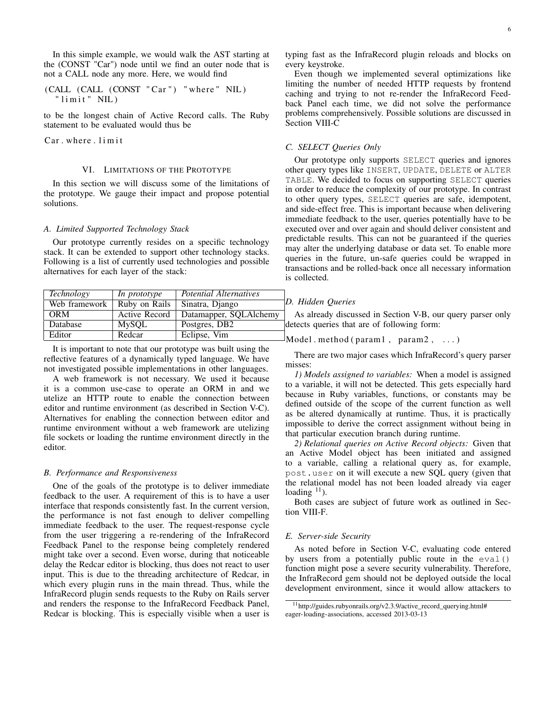In this simple example, we would walk the AST starting at the (CONST "Car") node until we find an outer node that is not a CALL node any more. Here, we would find

(CALL (CALL (CONST " Ca r " ) " whe re " NIL ) " l i m i t " NIL )

to be the longest chain of Active Record calls. The Ruby statement to be evaluated would thus be

Car . where . limit

## VI. LIMITATIONS OF THE PROTOTYPE

In this section we will discuss some of the limitations of the prototype. We gauge their impact and propose potential solutions.

#### *A. Limited Supported Technology Stack*

Our prototype currently resides on a specific technology stack. It can be extended to support other technology stacks. Following is a list of currently used technologies and possible alternatives for each layer of the stack:

| Technology    | In prototype  | <b>Potential Alternatives</b>       |
|---------------|---------------|-------------------------------------|
| Web framework | Ruby on Rails | Sinatra, Django                     |
| <b>ORM</b>    | Active Record | Datamapper, SQLAlchemy              |
| Database      | MySQL         | Postgres, DB2                       |
| Editor        | Redcar        | Eclipse, $\overline{V_{\text{im}}}$ |

It is important to note that our prototype was built using the reflective features of a dynamically typed language. We have not investigated possible implementations in other languages.

A web framework is not necessary. We used it because it is a common use-case to operate an ORM in and we utelize an HTTP route to enable the connection between editor and runtime environment (as described in Section V-C). Alternatives for enabling the connection between editor and runtime environment without a web framework are utelizing file sockets or loading the runtime environment directly in the editor.

# *B. Performance and Responsiveness*

One of the goals of the prototype is to deliver immediate feedback to the user. A requirement of this is to have a user interface that responds consistently fast. In the current version, the performance is not fast enough to deliver compelling immediate feedback to the user. The request-response cycle from the user triggering a re-rendering of the InfraRecord Feedback Panel to the response being completely rendered might take over a second. Even worse, during that noticeable delay the Redcar editor is blocking, thus does not react to user input. This is due to the threading architecture of Redcar, in which every plugin runs in the main thread. Thus, while the InfraRecord plugin sends requests to the Ruby on Rails server and renders the response to the InfraRecord Feedback Panel, Redcar is blocking. This is especially visible when a user is typing fast as the InfraRecord plugin reloads and blocks on every keystroke.

Even though we implemented several optimizations like limiting the number of needed HTTP requests by frontend caching and trying to not re-render the InfraRecord Feedback Panel each time, we did not solve the performance problems comprehensively. Possible solutions are discussed in Section VIII-C

# *C. SELECT Queries Only*

Our prototype only supports SELECT queries and ignores other query types like INSERT, UPDATE, DELETE or ALTER TABLE. We decided to focus on supporting SELECT queries in order to reduce the complexity of our prototype. In contrast to other query types, SELECT queries are safe, idempotent, and side-effect free. This is important because when delivering immediate feedback to the user, queries potentially have to be executed over and over again and should deliver consistent and predictable results. This can not be guaranteed if the queries may alter the underlying database or data set. To enable more queries in the future, un-safe queries could be wrapped in transactions and be rolled-back once all necessary information is collected.

## *D. Hidden Queries*

As already discussed in Section V-B, our query parser only detects queries that are of following form:

```
Model . method (param1, param2, ...)
```
There are two major cases which InfraRecord's query parser misses:

*1) Models assigned to variables:* When a model is assigned to a variable, it will not be detected. This gets especially hard because in Ruby variables, functions, or constants may be defined outside of the scope of the current function as well as be altered dynamically at runtime. Thus, it is practically impossible to derive the correct assignment without being in that particular execution branch during runtime.

*2) Relational queries on Active Record objects:* Given that an Active Model object has been initiated and assigned to a variable, calling a relational query as, for example, post.user on it will execute a new SQL query (given that the relational model has not been loaded already via eager loading  $11$ ).

Both cases are subject of future work as outlined in Section VIII-F.

## *E. Server-side Security*

As noted before in Section V-C, evaluating code entered by users from a potentially public route in the  $eval()$ function might pose a severe security vulnerability. Therefore, the InfraRecord gem should not be deployed outside the local development environment, since it would allow attackers to

<sup>11</sup>http://guides.rubyonrails.org/v2.3.9/active\_record\_querying.html# eager-loading-associations, accessed 2013-03-13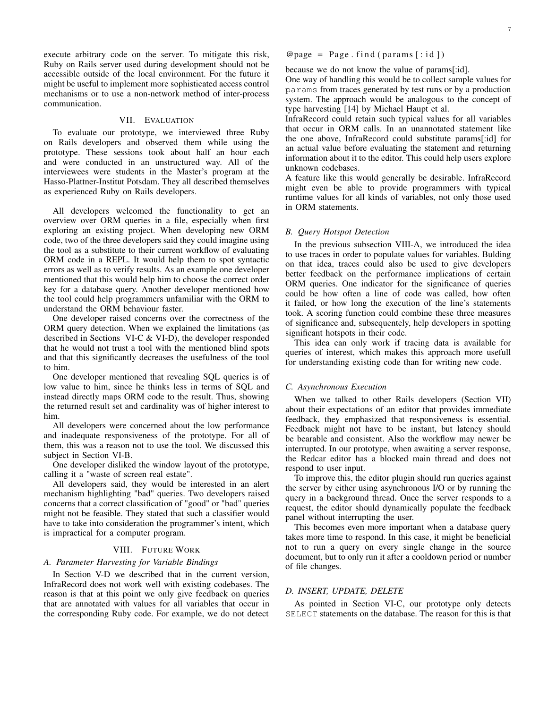execute arbitrary code on the server. To mitigate this risk, Ruby on Rails server used during development should not be accessible outside of the local environment. For the future it might be useful to implement more sophisticated access control mechanisms or to use a non-network method of inter-process communication.

#### VII. EVALUATION

To evaluate our prototype, we interviewed three Ruby on Rails developers and observed them while using the prototype. These sessions took about half an hour each and were conducted in an unstructured way. All of the interviewees were students in the Master's program at the Hasso-Plattner-Institut Potsdam. They all described themselves as experienced Ruby on Rails developers.

All developers welcomed the functionality to get an overview over ORM queries in a file, especially when first exploring an existing project. When developing new ORM code, two of the three developers said they could imagine using the tool as a substitute to their current workflow of evaluating ORM code in a REPL. It would help them to spot syntactic errors as well as to verify results. As an example one developer mentioned that this would help him to choose the correct order key for a database query. Another developer mentioned how the tool could help programmers unfamiliar with the ORM to understand the ORM behaviour faster.

One developer raised concerns over the correctness of the ORM query detection. When we explained the limitations (as described in Sections VI-C & VI-D), the developer responded that he would not trust a tool with the mentioned blind spots and that this significantly decreases the usefulness of the tool to him.

One developer mentioned that revealing SQL queries is of low value to him, since he thinks less in terms of SQL and instead directly maps ORM code to the result. Thus, showing the returned result set and cardinality was of higher interest to him.

All developers were concerned about the low performance and inadequate responsiveness of the prototype. For all of them, this was a reason not to use the tool. We discussed this subject in Section VI-B.

One developer disliked the window layout of the prototype, calling it a "waste of screen real estate".

All developers said, they would be interested in an alert mechanism highlighting "bad" queries. Two developers raised concerns that a correct classification of "good" or "bad" queries might not be feasible. They stated that such a classifier would have to take into consideration the programmer's intent, which is impractical for a computer program.

## VIII. FUTURE WORK

# *A. Parameter Harvesting for Variable Bindings*

In Section V-D we described that in the current version, InfraRecord does not work well with existing codebases. The reason is that at this point we only give feedback on queries that are annotated with values for all variables that occur in the corresponding Ruby code. For example, we do not detect  $@page = Page.find(params[:id])$ 

because we do not know the value of params[:id].

One way of handling this would be to collect sample values for params from traces generated by test runs or by a production system. The approach would be analogous to the concept of type harvesting [14] by Michael Haupt et al.

InfraRecord could retain such typical values for all variables that occur in ORM calls. In an unannotated statement like the one above, InfraRecord could substitute params[:id] for an actual value before evaluating the statement and returning information about it to the editor. This could help users explore unknown codebases.

A feature like this would generally be desirable. InfraRecord might even be able to provide programmers with typical runtime values for all kinds of variables, not only those used in ORM statements.

## *B. Query Hotspot Detection*

In the previous subsection VIII-A, we introduced the idea to use traces in order to populate values for variables. Bulding on that idea, traces could also be used to give developers better feedback on the performance implications of certain ORM queries. One indicator for the significance of queries could be how often a line of code was called, how often it failed, or how long the execution of the line's statements took. A scoring function could combine these three measures of significance and, subsequentely, help developers in spotting significant hotspots in their code.

This idea can only work if tracing data is available for queries of interest, which makes this approach more usefull for understanding existing code than for writing new code.

#### *C. Asynchronous Execution*

When we talked to other Rails developers (Section VII) about their expectations of an editor that provides immediate feedback, they emphasized that responsiveness is essential. Feedback might not have to be instant, but latency should be bearable and consistent. Also the workflow may newer be interrupted. In our prototype, when awaiting a server response, the Redcar editor has a blocked main thread and does not respond to user input.

To improve this, the editor plugin should run queries against the server by either using asynchronous I/O or by running the query in a background thread. Once the server responds to a request, the editor should dynamically populate the feedback panel without interrupting the user.

This becomes even more important when a database query takes more time to respond. In this case, it might be beneficial not to run a query on every single change in the source document, but to only run it after a cooldown period or number of file changes.

## *D. INSERT, UPDATE, DELETE*

As pointed in Section VI-C, our prototype only detects SELECT statements on the database. The reason for this is that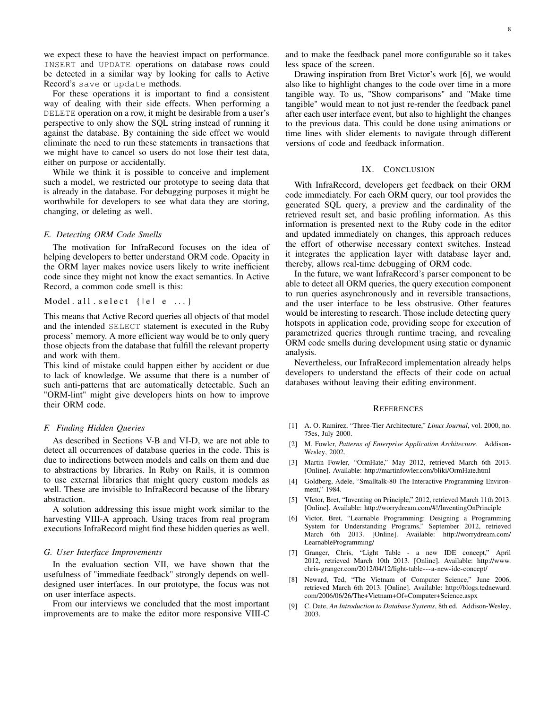we expect these to have the heaviest impact on performance. INSERT and UPDATE operations on database rows could be detected in a similar way by looking for calls to Active Record's save or update methods.

For these operations it is important to find a consistent way of dealing with their side effects. When performing a DELETE operation on a row, it might be desirable from a user's perspective to only show the SQL string instead of running it against the database. By containing the side effect we would eliminate the need to run these statements in transactions that we might have to cancel so users do not lose their test data, either on purpose or accidentally.

While we think it is possible to conceive and implement such a model, we restricted our prototype to seeing data that is already in the database. For debugging purposes it might be worthwhile for developers to see what data they are storing, changing, or deleting as well.

## *E. Detecting ORM Code Smells*

The motivation for InfraRecord focuses on the idea of helping developers to better understand ORM code. Opacity in the ORM layer makes novice users likely to write inefficient code since they might not know the exact semantics. In Active Record, a common code smell is this:

Model. all. select  $\{ |e|e$ ...

This means that Active Record queries all objects of that model and the intended SELECT statement is executed in the Ruby process' memory. A more efficient way would be to only query those objects from the database that fulfill the relevant property and work with them.

This kind of mistake could happen either by accident or due to lack of knowledge. We assume that there is a number of such anti-patterns that are automatically detectable. Such an "ORM-lint" might give developers hints on how to improve their ORM code.

# *F. Finding Hidden Queries*

As described in Sections V-B and VI-D, we are not able to detect all occurrences of database queries in the code. This is due to indirections between models and calls on them and due to abstractions by libraries. In Ruby on Rails, it is common to use external libraries that might query custom models as well. These are invisible to InfraRecord because of the library abstraction.

A solution addressing this issue might work similar to the harvesting VIII-A approach. Using traces from real program executions InfraRecord might find these hidden queries as well.

#### *G. User Interface Improvements*

In the evaluation section VII, we have shown that the usefulness of "immediate feedback" strongly depends on welldesigned user interfaces. In our prototype, the focus was not on user interface aspects.

From our interviews we concluded that the most important improvements are to make the editor more responsive VIII-C and to make the feedback panel more configurable so it takes less space of the screen.

Drawing inspiration from Bret Victor's work [6], we would also like to highlight changes to the code over time in a more tangible way. To us, "Show comparisons" and "Make time tangible" would mean to not just re-render the feedback panel after each user interface event, but also to highlight the changes to the previous data. This could be done using animations or time lines with slider elements to navigate through different versions of code and feedback information.

## IX. CONCLUSION

With InfraRecord, developers get feedback on their ORM code immediately. For each ORM query, our tool provides the generated SQL query, a preview and the cardinality of the retrieved result set, and basic profiling information. As this information is presented next to the Ruby code in the editor and updated immediately on changes, this approach reduces the effort of otherwise necessary context switches. Instead it integrates the application layer with database layer and, thereby, allows real-time debugging of ORM code.

In the future, we want InfraRecord's parser component to be able to detect all ORM queries, the query execution component to run queries asynchronously and in reversible transactions, and the user interface to be less obstrusive. Other features would be interesting to research. Those include detecting query hotspots in application code, providing scope for execution of parametrized queries through runtime tracing, and revealing ORM code smells during development using static or dynamic analysis.

Nevertheless, our InfraRecord implementation already helps developers to understand the effects of their code on actual databases without leaving their editing environment.

## **REFERENCES**

- [1] A. O. Ramirez, "Three-Tier Architecture," *Linux Journal*, vol. 2000, no. 75es, July 2000.
- [2] M. Fowler, *Patterns of Enterprise Application Architecture*. Addison-Wesley, 2002.
- [3] Martin Fowler, "OrmHate," May 2012, retrieved March 6th 2013. [Online]. Available: http://martinfowler.com/bliki/OrmHate.html
- [4] Goldberg, Adele, "Smalltalk-80 The Interactive Programming Environment," 1984.
- [5] VIctor, Bret, "Inventing on Principle," 2012, retrieved March 11th 2013. [Online]. Available: http://worrydream.com/#!/InventingOnPrinciple
- [6] Victor, Bret, "Learnable Programming: Designing a Programming System for Understanding Programs," September 2012, retrieved March 6th 2013. [Online]. Available: http://worrydream.com/ LearnableProgramming/
- [7] Granger, Chris, "Light Table a new IDE concept," April 2012, retrieved March 10th 2013. [Online]. Available: http://www. chris-granger.com/2012/04/12/light-table---a-new-ide-concept/
- [8] Neward, Ted, "The Vietnam of Computer Science," June 2006, retrieved March 6th 2013. [Online]. Available: http://blogs.tedneward. com/2006/06/26/The+Vietnam+Of+Computer+Science.aspx
- [9] C. Date, *An Introduction to Database Systems*, 8th ed. Addison-Wesley, 2003.